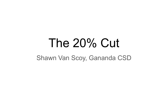# The 20% Cut

Shawn Van Scoy, Gananda CSD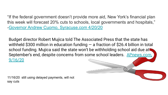"If the federal government doesn't provide more aid, New York's financial plan this week will forecast 20% cuts to schools, local governments and hospitals," [-Governor Andrew Cuomo, Syracuse.com 4/20/20](https://www.syracuse.com/coronavirus/2020/04/cuomo-20-funding-cuts-may-be-coming-for-schools-hospitals-more.html)

Budget director Robert Mujica told The Associated Press that the state has withheld \$300 million in education funding  $-$  a fraction of \$26.4 billion in total school funding. Mujica said the state won't be withholding school aid due at September's end, despite concerns from some school leaders. [APnews.com,](https://apnews.com/article/virus-outbreak-new-york-thomas-dinapoli-new-york-city-only-on-ap-71c34fb04b1059a8035e0f7e8f641c94) [9/16/20](https://apnews.com/article/virus-outbreak-new-york-thomas-dinapoli-new-york-city-only-on-ap-71c34fb04b1059a8035e0f7e8f641c94)

11/16/20 still using delayed payments, will not say cuts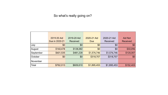#### So what's really going on?

|           | 2019-20 Aid<br>Due in 2020-21 | 2019-20 Aid<br>Received | 2020-21 Aid<br>Due | 2020-21 Aid<br>Received | Aid Not<br>Received |
|-----------|-------------------------------|-------------------------|--------------------|-------------------------|---------------------|
| July      | \$0                           | \$0                     | \$0                | \$0                     | \$0                 |
| August    | \$160,478                     | \$128,382               | \$0                | \$0                     | \$32,096            |
| September | \$601,535                     | \$481,228               | \$1,576,746        | \$1,576,746             | \$120,307           |
| October   | \$0                           | \$0                     | \$318,707          | \$318,707               | \$0                 |
| November  |                               |                         |                    |                         |                     |
| Total     | \$762,013                     | \$609,610               | \$1,895,453        | \$1,895,453             | \$152,403           |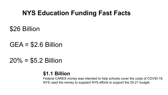# **NYS Education Funding Fast Facts**

\$26 Billion

### $GEA = $2.6$  Billion

# $20\% = $5.2$  Billion

### **\$1.1 Billion**

Federal CARES money was intended to help schools cover the costs of COVID-19. NYS used the money to supplant NYS efforts to support the 20-21 budget.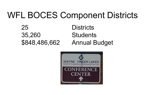# WFL BOCES Component Districts

25 Districts 35,260 Students \$848,486,662 Annual Budget

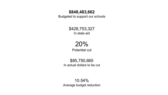#### **\$848,483,662**

Budgeted to support our schools

\$428,753,327 In state aid

### 20% Potential cut

\$85,750,665 In actual dollars to be cut

10.54% Average budget reduction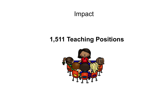Impact

# **1,511 Teaching Positions**

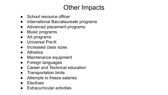# Other Impacts

- School resource officer
- International Baccalaureate programs
- Advanced placement programs
- Music programs
- Art programs
- Universal Pre-K
- Increased class sizes
- Athletics
- Maintenance equipment
- **Foreign languages**
- **Career and Technical education**
- **Transportation limits**
- Attempts to freeze salaries
- **Electives**
- **Extracurricular activities**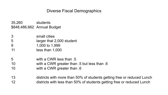#### Diverse Fiscal Demographics

35,260 students \$848,486,662 Annual Budget

- 3 small cities
- 5 larger that 2,000 student
- 9 1,000 to 1,999
- 11 less than 1,000
- 5 with a CWR less than .5
- 10 with a CWR greater than .5 but less than .6
- 10 with a CWR greater than .6
- 13 districts with more than 50% of students getting free or reduced Lunch 12 districts with less than 50% of students getting free or reduced Lunch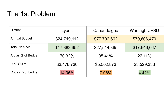# The 1st Problem

| <b>District</b>      | Lyons        | Canandaigua  | <b>Wantagh UFSD</b> |
|----------------------|--------------|--------------|---------------------|
| <b>Annual Budget</b> | \$24,719,112 | \$77,702,662 | \$79,806,470        |
| <b>Total NYS Aid</b> | \$17,383,652 | \$27,514,365 | \$17,646,667        |
| Aid as % of Budget   | 70.32%       | 35.41%       | 22.11%              |
| $20\%$ Cut =         | \$3,476,730  | \$5,502,873  | \$3,529,333         |
| Cut as % of budget   | 14.06%       | 7.08%        | 4.42%               |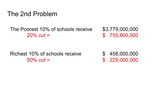### The 2nd Problem

The Poorest 10% of schools receive \$3,779,000,000 20% cut = \$ 755,800,000

Richest 10% of schools receive  $\frac{1}{2}$  458,000,000  $50\%$  cut =  $$ 229,000,000$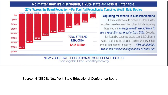#### No matter how it's distributed, a 20% state aid loss is untenable.

#### 20% "Across the Board Reduction - Per Pupil Aid Reduction by Combined Wealth Ratio Deciles



#### **Adjusting for Wealth is Also Problematic**

If some districts are to receive less than a 20% reduction based on need, then other districts, including those who are **average wealth would have to** see a reduction far greater than 20%. Consider, for illustrative purposes, that to save \$5.2 billion, it would require cutting all aid to districts with fewer than 44% of their students in poverty - 45% of districts would not receive a single dollar of state aid.

NEW YORK STATE EDUCATIONAL CONFERENCE BOARD John Yagielski, Chair-chair@nysecb.org

#### Source: NYSECB, New York State Educational Conference Board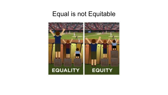### Equal is not Equitable